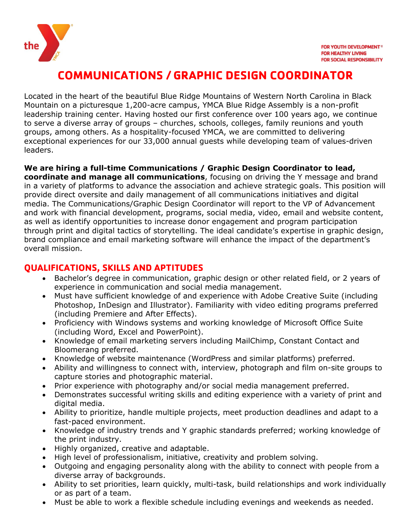

# **COMMUNICATIONS / GRAPHIC DESIGN COORDINATOR**

Located in the heart of the beautiful Blue Ridge Mountains of Western North Carolina in Black Mountain on a picturesque 1,200-acre campus, YMCA Blue Ridge Assembly is a non-profit leadership training center. Having hosted our first conference over 100 years ago, we continue to serve a diverse array of groups – churches, schools, colleges, family reunions and youth groups, among others. As a hospitality-focused YMCA, we are committed to delivering exceptional experiences for our 33,000 annual guests while developing team of values-driven leaders.

#### **We are hiring a full-time Communications / Graphic Design Coordinator to lead,**

**coordinate and manage all communications**, focusing on driving the Y message and brand in a variety of platforms to advance the association and achieve strategic goals. This position will provide direct oversite and daily management of all communications initiatives and digital media. The Communications/Graphic Design Coordinator will report to the VP of Advancement and work with financial development, programs, social media, video, email and website content, as well as identify opportunities to increase donor engagement and program participation through print and digital tactics of storytelling. The ideal candidate's expertise in graphic design, brand compliance and email marketing software will enhance the impact of the department's overall mission.

# **QUALIFICATIONS, SKILLS AND APTITUDES**

- Bachelor's degree in communication, graphic design or other related field, or 2 years of experience in communication and social media management.
- Must have sufficient knowledge of and experience with Adobe Creative Suite (including Photoshop, InDesign and Illustrator). Familiarity with video editing programs preferred (including Premiere and After Effects).
- Proficiency with Windows systems and working knowledge of Microsoft Office Suite (including Word, Excel and PowerPoint).
- Knowledge of email marketing servers including MailChimp, Constant Contact and Bloomerang preferred.
- Knowledge of website maintenance (WordPress and similar platforms) preferred.
- Ability and willingness to connect with, interview, photograph and film on-site groups to capture stories and photographic material.
- Prior experience with photography and/or social media management preferred.
- Demonstrates successful writing skills and editing experience with a variety of print and digital media.
- Ability to prioritize, handle multiple projects, meet production deadlines and adapt to a fast-paced environment.
- Knowledge of industry trends and Y graphic standards preferred; working knowledge of the print industry.
- Highly organized, creative and adaptable.
- High level of professionalism, initiative, creativity and problem solving.
- Outgoing and engaging personality along with the ability to connect with people from a diverse array of backgrounds.
- Ability to set priorities, learn quickly, multi-task, build relationships and work individually or as part of a team.
- Must be able to work a flexible schedule including evenings and weekends as needed.